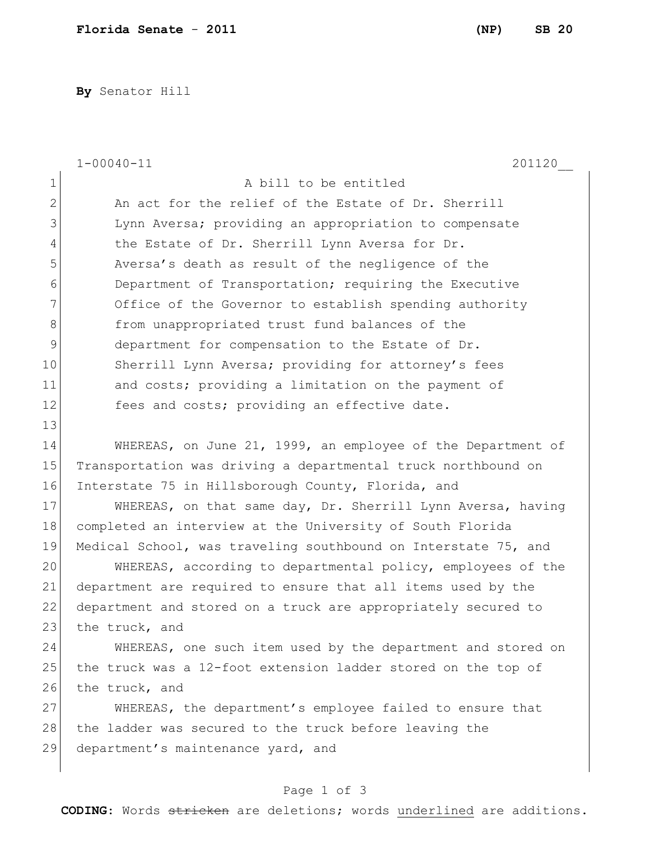**By** Senator Hill

|                | $1 - 00040 - 11$<br>201120                                     |
|----------------|----------------------------------------------------------------|
| 1              | A bill to be entitled                                          |
| $\overline{2}$ | An act for the relief of the Estate of Dr. Sherrill            |
| 3              | Lynn Aversa; providing an appropriation to compensate          |
| $\overline{4}$ | the Estate of Dr. Sherrill Lynn Aversa for Dr.                 |
| 5              | Aversa's death as result of the negligence of the              |
| 6              | Department of Transportation; requiring the Executive          |
| 7              | Office of the Governor to establish spending authority         |
| 8              | from unappropriated trust fund balances of the                 |
| $\mathsf 9$    | department for compensation to the Estate of Dr.               |
| 10             | Sherrill Lynn Aversa; providing for attorney's fees            |
| 11             | and costs; providing a limitation on the payment of            |
| 12             | fees and costs; providing an effective date.                   |
| 13             |                                                                |
| 14             | WHEREAS, on June 21, 1999, an employee of the Department of    |
| 15             | Transportation was driving a departmental truck northbound on  |
| 16             | Interstate 75 in Hillsborough County, Florida, and             |
| 17             | WHEREAS, on that same day, Dr. Sherrill Lynn Aversa, having    |
| 18             | completed an interview at the University of South Florida      |
| 19             | Medical School, was traveling southbound on Interstate 75, and |
| 20             | WHEREAS, according to departmental policy, employees of the    |
| 21             | department are required to ensure that all items used by the   |
| 22             | department and stored on a truck are appropriately secured to  |
| 23             | the truck, and                                                 |
| 24             | WHEREAS, one such item used by the department and stored on    |
| 25             | the truck was a 12-foot extension ladder stored on the top of  |
| 26             | the truck, and                                                 |
| 27             | WHEREAS, the department's employee failed to ensure that       |
| 28             | the ladder was secured to the truck before leaving the         |
| 29             | department's maintenance yard, and                             |
|                |                                                                |

## Page 1 of 3

**CODING**: Words stricken are deletions; words underlined are additions.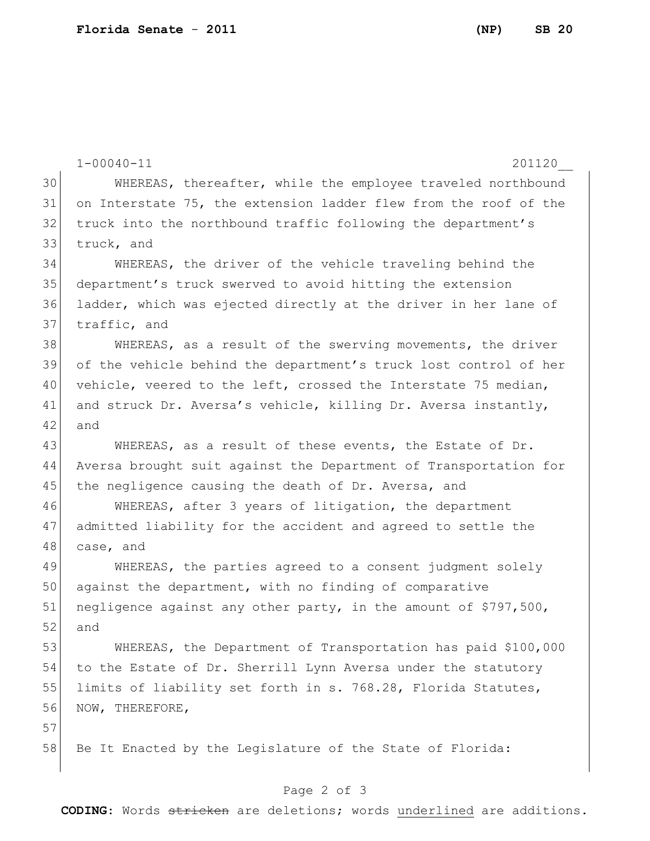|    | $1 - 00040 - 11$<br>201120                                       |
|----|------------------------------------------------------------------|
| 30 | WHEREAS, thereafter, while the employee traveled northbound      |
| 31 | on Interstate 75, the extension ladder flew from the roof of the |
| 32 | truck into the northbound traffic following the department's     |
| 33 | truck, and                                                       |
| 34 | WHEREAS, the driver of the vehicle traveling behind the          |
| 35 | department's truck swerved to avoid hitting the extension        |
| 36 | ladder, which was ejected directly at the driver in her lane of  |
| 37 | traffic, and                                                     |
| 38 | WHEREAS, as a result of the swerving movements, the driver       |
| 39 | of the vehicle behind the department's truck lost control of her |
| 40 | vehicle, veered to the left, crossed the Interstate 75 median,   |
| 41 | and struck Dr. Aversa's vehicle, killing Dr. Aversa instantly,   |
| 42 | and                                                              |
| 43 | WHEREAS, as a result of these events, the Estate of Dr.          |
| 44 | Aversa brought suit against the Department of Transportation for |
| 45 | the negligence causing the death of Dr. Aversa, and              |
| 46 | WHEREAS, after 3 years of litigation, the department             |
| 47 | admitted liability for the accident and agreed to settle the     |
| 48 | case, and                                                        |
| 49 | WHEREAS, the parties agreed to a consent judgment solely         |
| 50 | against the department, with no finding of comparative           |
| 51 | negligence against any other party, in the amount of \$797,500,  |
| 52 | and                                                              |
| 53 | WHEREAS, the Department of Transportation has paid \$100,000     |
| 54 | to the Estate of Dr. Sherrill Lynn Aversa under the statutory    |
| 55 | limits of liability set forth in s. 768.28, Florida Statutes,    |
| 56 | NOW, THEREFORE,                                                  |
| 57 |                                                                  |
| 58 | Be It Enacted by the Leqislature of the State of Florida:        |

## Page 2 of 3

**CODING**: Words stricken are deletions; words underlined are additions.